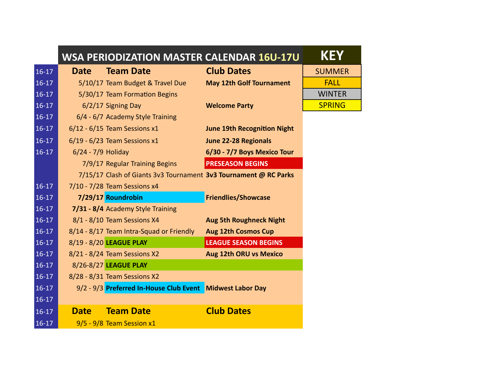|         |                    | <b>WSA PERIODIZATION MASTER CALENDAR 16U-17U</b>                 |                                    | <b>KEY</b>    |
|---------|--------------------|------------------------------------------------------------------|------------------------------------|---------------|
| $16-17$ | <b>Date</b>        | <b>Team Date</b>                                                 | <b>Club Dates</b>                  | <b>SUMMER</b> |
| $16-17$ |                    | 5/10/17 Team Budget & Travel Due                                 | <b>May 12th Golf Tournament</b>    | <b>FALL</b>   |
| $16-17$ |                    | 5/30/17 Team Formation Begins                                    |                                    | <b>WINTER</b> |
| $16-17$ |                    | 6/2/17 Signing Day                                               | <b>Welcome Party</b>               | <b>SPRING</b> |
| $16-17$ |                    | 6/4 - 6/7 Academy Style Training                                 |                                    |               |
| $16-17$ |                    | $6/12 - 6/15$ Team Sessions x1                                   | <b>June 19th Recognition Night</b> |               |
| $16-17$ |                    | 6/19 - 6/23 Team Sessions x1                                     | <b>June 22-28 Regionals</b>        |               |
| $16-17$ | 6/24 - 7/9 Holiday |                                                                  | 6/30 - 7/7 Boys Mexico Tour        |               |
|         |                    | 7/9/17 Regular Training Begins                                   | <b>PRESEASON BEGINS</b>            |               |
|         |                    | 7/15/17 Clash of Giants 3v3 Tournament 3v3 Tournament @ RC Parks |                                    |               |
| $16-17$ |                    | 7/10 - 7/28 Team Sessions x4                                     |                                    |               |
| $16-17$ |                    | 7/29/17 Roundrobin                                               | <b>Friendlies/Showcase</b>         |               |
| $16-17$ |                    | 7/31 - 8/4 Academy Style Training                                |                                    |               |
| $16-17$ |                    | 8/1 - 8/10 Team Sessions X4                                      | <b>Aug 5th Roughneck Night</b>     |               |
| $16-17$ |                    | 8/14 - 8/17 Team Intra-Squad or Friendly                         | <b>Aug 12th Cosmos Cup</b>         |               |
| $16-17$ |                    | 8/19 - 8/20 LEAGUE PLAY                                          | <b>LEAGUE SEASON BEGINS</b>        |               |
| $16-17$ |                    | 8/21 - 8/24 Team Sessions X2                                     | <b>Aug 12th ORU vs Mexico</b>      |               |
| $16-17$ |                    | 8/26-8/27 LEAGUE PLAY                                            |                                    |               |
| $16-17$ |                    | 8/28 - 8/31 Team Sessions X2                                     |                                    |               |
| $16-17$ |                    | 9/2 - 9/3 Preferred In-House Club Event Midwest Labor Day        |                                    |               |
| $16-17$ |                    |                                                                  |                                    |               |
| $16-17$ | <b>Date</b>        | <b>Team Date</b>                                                 | <b>Club Dates</b>                  |               |
| $16-17$ |                    | 9/5 - 9/8 Team Session x1                                        |                                    |               |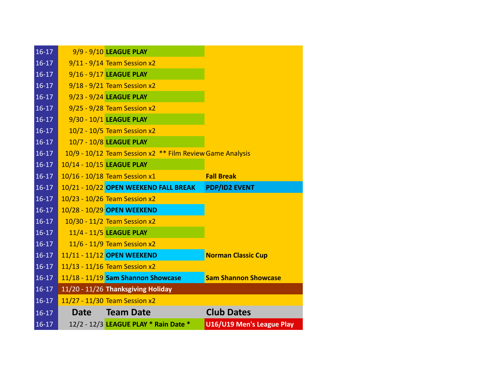| $16-17$   |                           | 9/9 - 9/10 LEAGUE PLAY                                    |                             |
|-----------|---------------------------|-----------------------------------------------------------|-----------------------------|
| $16-17$   |                           | $9/11 - 9/14$ Team Session x2                             |                             |
| $16-17$   |                           | 9/16 - 9/17 LEAGUE PLAY                                   |                             |
| $16-17$   |                           | $9/18 - 9/21$ Team Session x2                             |                             |
| $16-17$   |                           | 9/23 - 9/24 LEAGUE PLAY                                   |                             |
| $16-17$   |                           | 9/25 - 9/28 Team Session x2                               |                             |
| $16-17$   |                           | 9/30 - 10/1 LEAGUE PLAY                                   |                             |
| $16-17$   |                           | 10/2 - 10/5 Team Session x2                               |                             |
| $16-17$   |                           | 10/7 - 10/8 LEAGUE PLAY                                   |                             |
| $16-17$   |                           | 10/9 - 10/12 Team Session x2 ** Film Review Game Analysis |                             |
| $16-17$   | 10/14 - 10/15 LEAGUE PLAY |                                                           |                             |
| $16-17$   |                           | 10/16 - 10/18 Team Session x1                             | <b>Fall Break</b>           |
| $16-17$   |                           | 10/21 - 10/22 OPEN WEEKEND FALL BREAK                     | <b>PDP/ID2 EVENT</b>        |
| $16-17$   |                           | 10/23 - 10/26 Team Session x2                             |                             |
| $16-17$   |                           | 10/28 - 10/29 OPEN WEEKEND                                |                             |
| $16-17$   |                           | 10/30 - 11/2 Team Session x2                              |                             |
| $16-17$   |                           | 11/4 - 11/5 LEAGUE PLAY                                   |                             |
| $16-17$   |                           | 11/6 - 11/9 Team Session x2                               |                             |
| $16-17$   |                           | 11/11 - 11/12 OPEN WEEKEND                                | <b>Norman Classic Cup</b>   |
| $16-17$   |                           | 11/13 - 11/16 Team Session x2                             |                             |
| $16-17$   |                           | 11/18 - 11/19 Sam Shannon Showcase                        | <b>Sam Shannon Showcase</b> |
| $16-17$   |                           | 11/20 - 11/26 Thanksgiving Holiday                        |                             |
| $16-17$   |                           | 11/27 - 11/30 Team Session x2                             |                             |
| $16 - 17$ | <b>Date</b>               | <b>Team Date</b>                                          | <b>Club Dates</b>           |
|           |                           |                                                           |                             |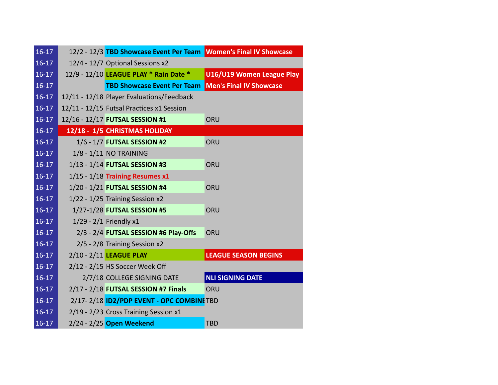| $16-17$ | 12/2 - 12/3 TBD Showcase Event Per Team Women's Final IV Showcase |                                |
|---------|-------------------------------------------------------------------|--------------------------------|
| $16-17$ | 12/4 - 12/7 Optional Sessions x2                                  |                                |
| $16-17$ | 12/9 - 12/10 LEAGUE PLAY * Rain Date *                            | U16/U19 Women League Play      |
| $16-17$ | <b>TBD Showcase Event Per Team</b>                                | <b>Men's Final IV Showcase</b> |
| $16-17$ | 12/11 - 12/18 Player Evaluations/Feedback                         |                                |
| $16-17$ | 12/11 - 12/15 Futsal Practices x1 Session                         |                                |
| $16-17$ | 12/16 - 12/17 FUTSAL SESSION #1                                   | ORU                            |
| $16-17$ | 12/18 - 1/5 CHRISTMAS HOLIDAY                                     |                                |
| $16-17$ | 1/6 - 1/7 FUTSAL SESSION #2                                       | ORU                            |
| $16-17$ | 1/8 - 1/11 NO TRAINING                                            |                                |
| $16-17$ | 1/13 - 1/14 FUTSAL SESSION #3                                     | ORU                            |
| $16-17$ | $1/15 - 1/18$ Training Resumes x1                                 |                                |
| $16-17$ | 1/20 - 1/21 FUTSAL SESSION #4                                     | ORU                            |
| $16-17$ | 1/22 - 1/25 Training Session x2                                   |                                |
| $16-17$ | 1/27-1/28 FUTSAL SESSION #5                                       | ORU                            |
| $16-17$ | 1/29 - 2/1 Friendly x1                                            |                                |
| $16-17$ | 2/3 - 2/4 FUTSAL SESSION #6 Play-Offs                             | ORU                            |
| $16-17$ | 2/5 - 2/8 Training Session x2                                     |                                |
| $16-17$ | 2/10 - 2/11 LEAGUE PLAY                                           | <b>LEAGUE SEASON BEGINS</b>    |
| $16-17$ | 2/12 - 2/15 HS Soccer Week Off                                    |                                |
| $16-17$ | 2/7/18 COLLEGE SIGNING DATE                                       | <b>NLI SIGNING DATE</b>        |
| $16-17$ | 2/17 - 2/18 FUTSAL SESSION #7 Finals                              | ORU                            |
| $16-17$ | 2/17-2/18 ID2/PDP EVENT - OPC COMBINE TBD                         |                                |
| $16-17$ | 2/19 - 2/23 Cross Training Session x1                             |                                |
| $16-17$ | 2/24 - 2/25 Open Weekend                                          | <b>TBD</b>                     |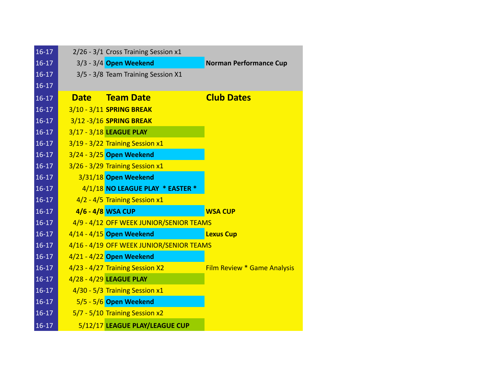| $16-17$ |             | 2/26 - 3/1 Cross Training Session x1     |                               |
|---------|-------------|------------------------------------------|-------------------------------|
| $16-17$ |             | 3/3 - 3/4 Open Weekend                   | <b>Norman Performance Cup</b> |
| $16-17$ |             | 3/5 - 3/8 Team Training Session X1       |                               |
| $16-17$ |             |                                          |                               |
| $16-17$ | <b>Date</b> | <b>Team Date</b>                         | <b>Club Dates</b>             |
| $16-17$ |             | 3/10 - 3/11 SPRING BREAK                 |                               |
| $16-17$ |             | 3/12 - 3/16 SPRING BREAK                 |                               |
| $16-17$ |             | 3/17 - 3/18 LEAGUE PLAY                  |                               |
| $16-17$ |             | 3/19 - 3/22 Training Session x1          |                               |
| $16-17$ |             | 3/24 - 3/25 Open Weekend                 |                               |
| $16-17$ |             | 3/26 - 3/29 Training Session x1          |                               |
| $16-17$ |             | 3/31/18 Open Weekend                     |                               |
| $16-17$ |             | 4/1/18 NO LEAGUE PLAY * EASTER *         |                               |
| $16-17$ |             | 4/2 - 4/5 Training Session x1            |                               |
| $16-17$ |             | 4/6 - 4/8 WSA CUP                        | <b>WSA CUP</b>                |
| $16-17$ |             | 4/9 - 4/12 OFF WEEK JUNIOR/SENIOR TEAMS  |                               |
| $16-17$ |             | $4/14 - 4/15$ Open Weekend               | <b>Lexus Cup</b>              |
| $16-17$ |             | 4/16 - 4/19 OFF WEEK JUNIOR/SENIOR TEAMS |                               |
| $16-17$ |             | 4/21 - 4/22 Open Weekend                 |                               |
| $16-17$ |             | 4/23 - 4/27 Training Session X2          | Film Review * Game Analysis   |
| $16-17$ |             | 4/28 - 4/29 LEAGUE PLAY                  |                               |
| $16-17$ |             | 4/30 - 5/3 Training Session x1           |                               |
| $16-17$ |             | 5/5 - 5/6 Open Weekend                   |                               |
| $16-17$ |             | 5/7 - 5/10 Training Session x2           |                               |
| $16-17$ |             | 5/12/17 LEAGUE PLAY/LEAGUE CUP           |                               |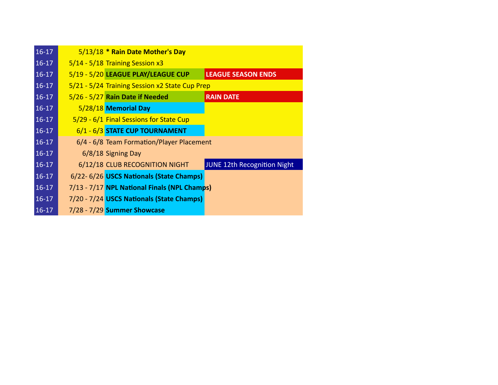| $16-17$ | 5/13/18 * Rain Date Mother's Day               |                             |
|---------|------------------------------------------------|-----------------------------|
| $16-17$ | 5/14 - 5/18 Training Session x3                |                             |
| $16-17$ | 5/19 - 5/20 LEAGUE PLAY/LEAGUE CUP             | <b>LEAGUE SEASON ENDS</b>   |
| $16-17$ | 5/21 - 5/24 Training Session x2 State Cup Prep |                             |
| $16-17$ | 5/26 - 5/27 Rain Date if Needed                | <b>RAIN DATE</b>            |
| $16-17$ | 5/28/18 Memorial Day                           |                             |
| $16-17$ | 5/29 - 6/1 Final Sessions for State Cup        |                             |
| $16-17$ | 6/1 - 6/3 STATE CUP TOURNAMENT                 |                             |
| $16-17$ | 6/4 - 6/8 Team Formation/Player Placement      |                             |
| $16-17$ | 6/8/18 Signing Day                             |                             |
| $16-17$ | 6/12/18 CLUB RECOGNITION NIGHT                 | JUNE 12th Recognition Night |
| $16-17$ | 6/22-6/26 USCS Nationals (State Champs)        |                             |
| $16-17$ | 7/13 - 7/17 NPL National Finals (NPL Champs)   |                             |
| $16-17$ | 7/20 - 7/24 USCS Nationals (State Champs)      |                             |
| $16-17$ | 7/28 - 7/29 Summer Showcase                    |                             |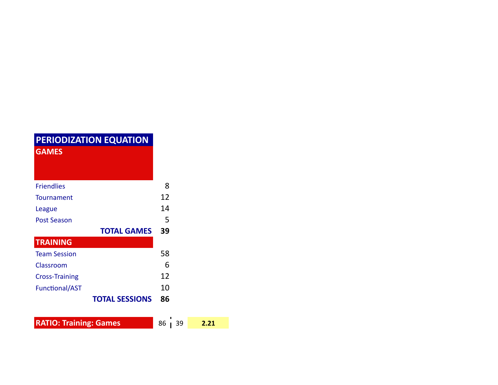| <b>PERIODIZATION EQUATION</b><br><b>GAMES</b> |                          |  |
|-----------------------------------------------|--------------------------|--|
| <b>Friendlies</b>                             | 8                        |  |
| Tournament                                    | 12                       |  |
| League                                        | 14                       |  |
| Post Season                                   | 5                        |  |
|                                               |                          |  |
|                                               | <b>TOTAL GAMES</b><br>39 |  |
| <b>TRAINING</b>                               |                          |  |
| <b>Team Session</b>                           | 58                       |  |
| Classroom                                     | 6                        |  |
| <b>Cross-Training</b>                         | 12                       |  |
| <b>Functional/AST</b>                         | 10                       |  |

**RATIO: Training: Games** 86 39 2.21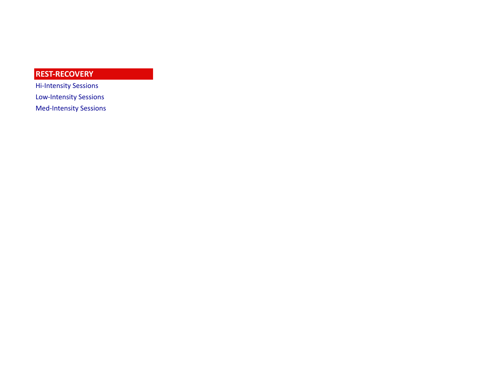## **REST-RECOVERY**

Hi-Intensity Sessions Low-Intensity Sessions Med-Intensity Sessions